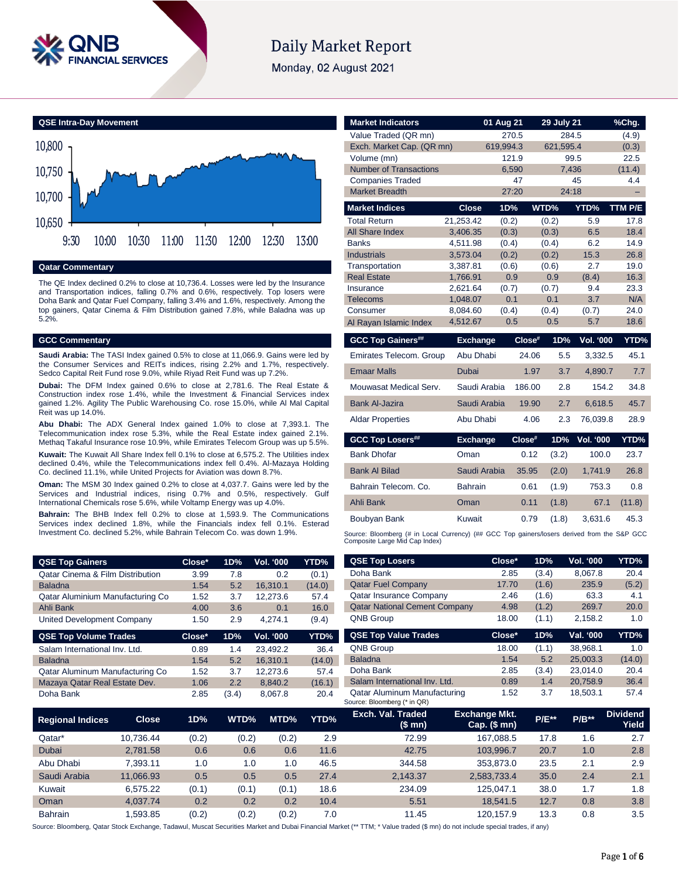

# **Daily Market Report**

Monday, 02 August 2021



**Qatar Commentary**

The QE Index declined 0.2% to close at 10,736.4. Losses were led by the Insurance and Transportation indices, falling 0.7% and 0.6%, respectively. Top losers were Doha Bank and Qatar Fuel Company, falling 3.4% and 1.6%, respectively. Among the top gainers, Qatar Cinema & Film Distribution gained 7.8%, while Baladna was up 5.2%.

# **GCC Commentary**

**Saudi Arabia:** The TASI Index gained 0.5% to close at 11,066.9. Gains were led by the Consumer Services and REITs indices, rising 2.2% and 1.7%, respectively. Sedco Capital Reit Fund rose 9.0%, while Riyad Reit Fund was up 7.2%.

**Dubai:** The DFM Index gained 0.6% to close at 2,781.6. The Real Estate & Construction index rose 1.4%, while the Investment & Financial Services index gained 1.2%. Agility The Public Warehousing Co. rose 15.0%, while Al Mal Capital Reit was up 14.0%.

**Abu Dhabi:** The ADX General Index gained 1.0% to close at 7,393.1. The Telecommunication index rose 5.3%, while the Real Estate index gained 2.1%. Methaq Takaful Insurance rose 10.9%, while Emirates Telecom Group was up 5.5%.

**Kuwait:** The Kuwait All Share Index fell 0.1% to close at 6,575.2. The Utilities index declined 0.4%, while the Telecommunications index fell 0.4%. Al-Mazaya Holding Co. declined 11.1%, while United Projects for Aviation was down 8.7%.

**Oman:** The MSM 30 Index gained 0.2% to close at 4,037.7. Gains were led by the Services and Industrial indices, rising 0.7% and 0.5%, respectively. Gulf International Chemicals rose 5.6%, while Voltamp Energy was up 4.0%.

**Bahrain:** The BHB Index fell 0.2% to close at 1,593.9. The Communications Services index declined 1.8%, while the Financials index fell 0.1%. Esterad Investment Co. declined 5.2%, while Bahrain Telecom Co. was down 1.9%.

| <b>QSE Top Gainers</b>                      | Close* | 1D% | <b>Vol. '000</b> | YTD%   |
|---------------------------------------------|--------|-----|------------------|--------|
| <b>Qatar Cinema &amp; Film Distribution</b> | 3.99   | 7.8 | 0.2              | (0.1)  |
| <b>Baladna</b>                              | 1.54   | 5.2 | 16.310.1         | (14.0) |
| Qatar Aluminium Manufacturing Co            | 1.52   | 3.7 | 12.273.6         | 57.4   |
| Ahli Bank                                   | 4.00   | 3.6 | 0.1              | 16.0   |
| United Development Company                  | 1.50   | 29  | 4.274.1          | (9.4)  |

| <b>QSE Top Volume Trades</b>    | Close* | 1D%   | <b>Vol. '000</b> | YTD%   |
|---------------------------------|--------|-------|------------------|--------|
| Salam International Inv. Ltd.   | 0.89   | 1.4   | 23.492.2         | 36.4   |
| <b>Baladna</b>                  | 1.54   | 5.2   | 16.310.1         | (14.0) |
| Qatar Aluminum Manufacturing Co | 1.52   | 3.7   | 12.273.6         | 57.4   |
| Mazaya Qatar Real Estate Dev.   | 1.06   | 2.2   | 8.840.2          | (16.1) |
| Doha Bank                       | 2.85   | (3.4) | 8.067.8          | 20.4   |

| <b>Market Indicators</b>                          |                      | 01 Aug 21<br>270.5 |           | <b>29 July 21</b><br>284.5 |                  | %Chg.          |
|---------------------------------------------------|----------------------|--------------------|-----------|----------------------------|------------------|----------------|
| Value Traded (QR mn)<br>Exch. Market Cap. (QR mn) |                      | 619,994.3          |           | 621,595.4                  |                  | (4.9)<br>(0.3) |
| Volume (mn)                                       |                      | 121.9              |           | 99.5                       |                  | 22.5           |
| <b>Number of Transactions</b>                     |                      | 6,590              |           | 7,436                      |                  | (11.4)         |
| <b>Companies Traded</b>                           |                      | 47                 |           |                            | 45               | 4.4            |
| <b>Market Breadth</b>                             |                      | 27:20              |           | 24:18                      |                  | ۳              |
| <b>Market Indices</b>                             | <b>Close</b>         | 1D%                | WTD%      |                            | YTD%             | TTM P/E        |
| <b>Total Return</b>                               | 21.253.42            | (0.2)              |           | (0.2)                      | 5.9              | 17.8           |
| <b>All Share Index</b>                            | 3,406.35             | (0.3)              |           | (0.3)                      | 6.5              | 18.4           |
| <b>Banks</b>                                      | 4,511.98             | (0.4)              |           | (0.4)                      | 6.2              | 14.9           |
| <b>Industrials</b>                                | 3,573.04             | (0.2)              |           | (0.2)                      | 15.3             | 26.8           |
| Transportation                                    | 3,387.81             | (0.6)              |           | (0.6)                      | 2.7              | 19.0           |
| <b>Real Estate</b>                                | 1,766.91             | 0.9                |           | 0.9                        | (8.4)            | 16.3           |
| Insurance                                         | 2,621.64             | (0.7)              |           | (0.7)                      | 9.4              | 23.3           |
| <b>Telecoms</b><br>Consumer                       | 1,048.07<br>8,084.60 | 0.1<br>(0.4)       |           | 0.1<br>(0.4)               | 3.7              | N/A<br>24.0    |
| Al Rayan Islamic Index                            | 4,512.67             | 0.5                |           | 0.5                        | (0.7)<br>5.7     | 18.6           |
|                                                   |                      |                    |           |                            |                  |                |
|                                                   |                      |                    |           |                            |                  |                |
| <b>GCC Top Gainers##</b>                          | <b>Exchange</b>      |                    | $Close^*$ | 1D%                        | <b>Vol. '000</b> |                |
| Emirates Telecom. Group                           | Abu Dhabi            |                    | 24.06     | 5.5                        | 3,332.5          | 45.1           |
| <b>Emaar Malls</b>                                | Dubai                |                    | 1.97      | 3.7                        | 4.890.7          | 7.7            |
| Mouwasat Medical Serv.                            | Saudi Arabia         |                    | 186.00    | 2.8                        | 154.2            | YTD%<br>34.8   |
| <b>Bank Al-Jazira</b>                             | Saudi Arabia         |                    | 19.90     | 2.7                        | 6,618.5          | 45.7           |
| <b>Aldar Properties</b>                           | Abu Dhabi            |                    | 4.06      | 2.3                        | 76,039.8         | 28.9           |
|                                                   | <b>Exchange</b>      |                    | Close#    | 1D%                        | Vol. '000        | YTD%           |
| <b>GCC Top Losers##</b><br><b>Bank Dhofar</b>     | Oman                 |                    | 0.12      | (3.2)                      | 100.0            | 23.7           |
| <b>Bank Al Bilad</b>                              | Saudi Arabia         |                    | 35.95     | (2.0)                      | 1,741.9          | 26.8           |
| Bahrain Telecom, Co.                              | <b>Bahrain</b>       |                    | 0.61      | (1.9)                      | 753.3            | 0.8            |
| Ahli Bank                                         | Oman                 |                    | 0.11      | (1.8)                      | 67.1             | (11.8)         |
| Boubyan Bank                                      | Kuwait               |                    | 0.79      | (1.8)                      | 3,631.6          | 45.3           |

| <b>QSE Top Gainers</b>                      |              | Close* | 1D%   | Vol. '000 | YTD%   | <b>QSE Top Losers</b>                                       | Close*                                   | 1D%     | Vol. '000 | YTD%                     |
|---------------------------------------------|--------------|--------|-------|-----------|--------|-------------------------------------------------------------|------------------------------------------|---------|-----------|--------------------------|
| <b>Qatar Cinema &amp; Film Distribution</b> |              | 3.99   | 7.8   | 0.2       | (0.1)  | Doha Bank                                                   | 2.85                                     | (3.4)   | 8,067.8   | 20.4                     |
| <b>Baladna</b>                              |              | 1.54   | 5.2   | 16,310.1  | (14.0) | <b>Qatar Fuel Company</b>                                   | 17.70                                    | (1.6)   | 235.9     | (5.2)                    |
| Qatar Aluminium Manufacturing Co            |              | 1.52   | 3.7   | 12,273.6  | 57.4   | Qatar Insurance Company                                     | 2.46                                     | (1.6)   | 63.3      | 4.1                      |
| Ahli Bank                                   |              | 4.00   | 3.6   | 0.1       | 16.0   | <b>Qatar National Cement Company</b>                        | 4.98                                     | (1.2)   | 269.7     | 20.0                     |
| <b>United Development Company</b>           |              | 1.50   | 2.9   | 4,274.1   | (9.4)  | <b>QNB Group</b>                                            | 18.00                                    | (1.1)   | 2,158.2   | 1.0                      |
| <b>QSE Top Volume Trades</b>                |              | Close* | 1D%   | Vol. '000 | YTD%   | <b>QSE Top Value Trades</b>                                 | Close*                                   | 1D%     | Val. '000 | YTD%                     |
| Salam International Inv. Ltd.               |              | 0.89   | 1.4   | 23,492.2  | 36.4   | <b>QNB Group</b>                                            | 18.00                                    | (1.1)   | 38,968.1  | 1.0                      |
| <b>Baladna</b>                              |              | 1.54   | 5.2   | 16,310.1  | (14.0) | <b>Baladna</b>                                              | 1.54                                     | 5.2     | 25,003.3  | (14.0)                   |
| Qatar Aluminum Manufacturing Co             |              | 1.52   | 3.7   | 12,273.6  | 57.4   | Doha Bank                                                   | 2.85                                     | (3.4)   | 23,014.0  | 20.4                     |
| Mazaya Qatar Real Estate Dev.               |              | 1.06   | 2.2   | 8,840.2   | (16.1) | Salam International Inv. Ltd.                               | 0.89                                     | 1.4     | 20,758.9  | 36.4                     |
| Doha Bank                                   |              | 2.85   | (3.4) | 8,067.8   | 20.4   | Qatar Aluminum Manufacturing<br>Source: Bloomberg (* in QR) | 1.52                                     | 3.7     | 18,503.1  | 57.4                     |
| <b>Regional Indices</b>                     | <b>Close</b> | 1D%    | WTD%  | MTD%      | YTD%   | Exch. Val. Traded<br>(\$ mn)                                | <b>Exchange Mkt.</b><br>Cap. $($$ mn $)$ | $P/E**$ | $P/B**$   | <b>Dividend</b><br>Yield |
| Qatar*                                      | 10,736.44    | (0.2)  | (0.2) | (0.2)     | 2.9    | 72.99                                                       | 167,088.5                                | 17.8    | 1.6       | 2.7                      |
| Dubai                                       | 2,781.58     | 0.6    | 0.6   | 0.6       | 11.6   | 42.75                                                       | 103,996.7                                | 20.7    | 1.0       | 2.8                      |
| Abu Dhabi                                   | 7.393.11     | 1.0    | 1.0   | 1.0       | 46.5   | 344.58                                                      | 353.873.0                                | 23.5    | 2.1       | 2.9                      |

Source: Bloomberg, Qatar Stock Exchange, Tadawul, Muscat Securities Market and Dubai Financial Market (\*\* TTM; \* Value traded (\$ mn) do not include special trades, if any)

Saudi Arabia 11,066.93 0.5 0.5 0.5 27.4 2,143.37 2,583,733.4 35.0 2.4 2.1 Kuwait 6,575.22 (0.1) (0.1) (0.1) 18.6 234.09 125,047.1 38.0 1.7 1.8 Oman 4,037.74 0.2 0.2 0.2 10.4 5.51 18,541.5 12.7 0.8 3.8 Bahrain 1,593.85 (0.2) (0.2) (0.2) 7.0 11.45 120,157.9 13.3 0.8 3.5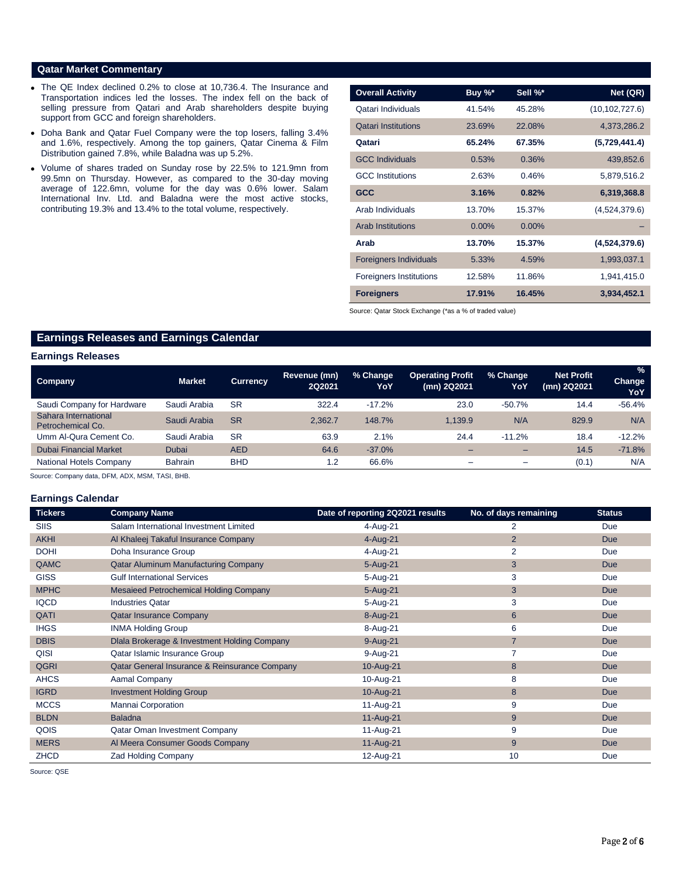# **Qatar Market Commentary**

- The QE Index declined 0.2% to close at 10,736.4. The Insurance and Transportation indices led the losses. The index fell on the back of selling pressure from Qatari and Arab shareholders despite buying support from GCC and foreign shareholders.
- Doha Bank and Qatar Fuel Company were the top losers, falling 3.4% and 1.6%, respectively. Among the top gainers, Qatar Cinema & Film Distribution gained 7.8%, while Baladna was up 5.2%.
- Volume of shares traded on Sunday rose by 22.5% to 121.9mn from 99.5mn on Thursday. However, as compared to the 30-day moving average of 122.6mn, volume for the day was 0.6% lower. Salam International Inv. Ltd. and Baladna were the most active stocks, contributing 19.3% and 13.4% to the total volume, respectively.

| <b>Overall Activity</b>        | Buy %*   | Sell %*  | Net (QR)         |
|--------------------------------|----------|----------|------------------|
|                                |          |          |                  |
| Qatari Individuals             | 41.54%   | 45.28%   | (10, 102, 727.6) |
| <b>Oatari Institutions</b>     | 23.69%   | 22.08%   | 4,373,286.2      |
| Qatari                         | 65.24%   | 67.35%   | (5,729,441.4)    |
| <b>GCC</b> Individuals         | 0.53%    | 0.36%    | 439,852.6        |
| <b>GCC</b> Institutions        | 2.63%    | 0.46%    | 5,879,516.2      |
| <b>GCC</b>                     | 3.16%    | 0.82%    | 6,319,368.8      |
| Arab Individuals               | 13.70%   | 15.37%   | (4,524,379.6)    |
| <b>Arab Institutions</b>       | $0.00\%$ | $0.00\%$ |                  |
| Arab                           | 13.70%   | 15.37%   | (4,524,379.6)    |
| <b>Foreigners Individuals</b>  | 5.33%    | 4.59%    | 1,993,037.1      |
| <b>Foreigners Institutions</b> | 12.58%   | 11.86%   | 1,941,415.0      |
| <b>Foreigners</b>              | 17.91%   | 16.45%   | 3,934,452.1      |

Source: Qatar Stock Exchange (\*as a % of traded value)

# **Earnings Releases and Earnings Calendar**

### **Earnings Releases**

| <b>Company</b>                            | <b>Market</b>  | <b>Currency</b> | <b>Revenue (mn)</b><br>2Q2021 | % Change<br>YoY | <b>Operating Profit</b><br>(mn) 2Q2021 | % Change<br>YoY          | <b>Net Profit</b><br>(mn) 2Q2021 | %<br>Change<br>YoY |
|-------------------------------------------|----------------|-----------------|-------------------------------|-----------------|----------------------------------------|--------------------------|----------------------------------|--------------------|
| Saudi Company for Hardware                | Saudi Arabia   | <b>SR</b>       | 322.4                         | $-17.2%$        | 23.0                                   | $-50.7%$                 | 14.4                             | $-56.4%$           |
| Sahara International<br>Petrochemical Co. | Saudi Arabia   | <b>SR</b>       | 2.362.7                       | 148.7%          | 1.139.9                                | N/A                      | 829.9                            | N/A                |
| Umm Al-Qura Cement Co.                    | Saudi Arabia   | <b>SR</b>       | 63.9                          | 2.1%            | 24.4                                   | $-11.2%$                 | 18.4                             | $-12.2%$           |
| <b>Dubai Financial Market</b>             | <b>Dubai</b>   | <b>AED</b>      | 64.6                          | $-37.0%$        | -                                      | $\overline{\phantom{0}}$ | 14.5                             | $-71.8%$           |
| <b>National Hotels Company</b>            | <b>Bahrain</b> | <b>BHD</b>      | 1.2                           | 66.6%           | -                                      | $\overline{\phantom{0}}$ | (0.1)                            | N/A                |

Source: Company data, DFM, ADX, MSM, TASI, BHB.

#### **Earnings Calendar**

| <b>Tickers</b> | <b>Company Name</b>                           | Date of reporting 2Q2021 results | No. of days remaining | <b>Status</b> |
|----------------|-----------------------------------------------|----------------------------------|-----------------------|---------------|
| SIIS           | Salam International Investment Limited        | 4-Aug-21                         | 2                     | Due           |
| <b>AKHI</b>    | Al Khaleej Takaful Insurance Company          | 4-Aug-21                         | $\overline{2}$        | <b>Due</b>    |
| <b>DOHI</b>    | Doha Insurance Group                          | 4-Aug-21                         | $\overline{2}$        | Due           |
| QAMC           | Qatar Aluminum Manufacturing Company          | $5 - Aug-21$                     | 3                     | Due           |
| <b>GISS</b>    | <b>Gulf International Services</b>            | 5-Aug-21                         | 3                     | Due           |
| <b>MPHC</b>    | Mesaieed Petrochemical Holding Company        | $5 - Aug-21$                     | 3                     | Due           |
| <b>IQCD</b>    | <b>Industries Qatar</b>                       | 5-Aug-21                         | 3                     | Due           |
| QATI           | <b>Qatar Insurance Company</b>                | 8-Aug-21                         | $6\phantom{1}$        | <b>Due</b>    |
| <b>IHGS</b>    | <b>INMA Holding Group</b>                     | 8-Aug-21                         | 6                     | Due           |
| <b>DBIS</b>    | Dlala Brokerage & Investment Holding Company  | 9-Aug-21                         | $\overline{7}$        | <b>Due</b>    |
| QISI           | Qatar Islamic Insurance Group                 | 9-Aug-21                         | $\overline{7}$        | Due           |
| <b>QGRI</b>    | Qatar General Insurance & Reinsurance Company | 10-Aug-21                        | 8                     | <b>Due</b>    |
| <b>AHCS</b>    | Aamal Company                                 | 10-Aug-21                        | 8                     | Due           |
| <b>IGRD</b>    | <b>Investment Holding Group</b>               | 10-Aug-21                        | 8                     | Due           |
| <b>MCCS</b>    | Mannai Corporation                            | 11-Aug-21                        | 9                     | Due           |
| <b>BLDN</b>    | <b>Baladna</b>                                | 11-Aug-21                        | 9                     | <b>Due</b>    |
| QOIS           | Qatar Oman Investment Company                 | 11-Aug-21                        | 9                     | Due           |
| <b>MERS</b>    | Al Meera Consumer Goods Company               | 11-Aug-21                        | 9                     | <b>Due</b>    |
| <b>ZHCD</b>    | <b>Zad Holding Company</b>                    | 12-Aug-21                        | 10                    | Due           |

Source: QSE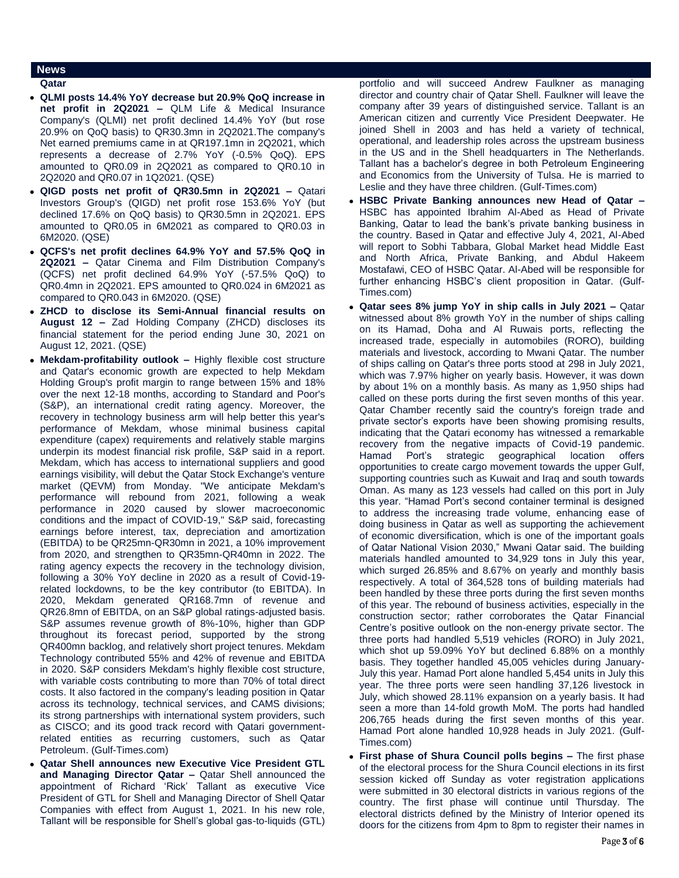# **News**

# **Qatar**

- **QLMI posts 14.4% YoY decrease but 20.9% QoQ increase in net profit in 2Q2021 –** QLM Life & Medical Insurance Company's (QLMI) net profit declined 14.4% YoY (but rose 20.9% on QoQ basis) to QR30.3mn in 2Q2021.The company's Net earned premiums came in at QR197.1mn in 2Q2021, which represents a decrease of 2.7% YoY (-0.5% QoQ). EPS amounted to QR0.09 in 2Q2021 as compared to QR0.10 in 2Q2020 and QR0.07 in 1Q2021. (QSE)
- **QIGD posts net profit of QR30.5mn in 2Q2021 –** Qatari Investors Group's (QIGD) net profit rose 153.6% YoY (but declined 17.6% on QoQ basis) to QR30.5mn in 2Q2021. EPS amounted to QR0.05 in 6M2021 as compared to QR0.03 in 6M2020. (QSE)
- **QCFS's net profit declines 64.9% YoY and 57.5% QoQ in 2Q2021 –** Qatar Cinema and Film Distribution Company's (QCFS) net profit declined 64.9% YoY (-57.5% QoQ) to QR0.4mn in 2Q2021. EPS amounted to QR0.024 in 6M2021 as compared to QR0.043 in 6M2020. (QSE)
- **ZHCD to disclose its Semi-Annual financial results on August 12 –** Zad Holding Company (ZHCD) discloses its financial statement for the period ending June 30, 2021 on August 12, 2021. (QSE)
- **Mekdam-profitability outlook –** Highly flexible cost structure and Qatar's economic growth are expected to help Mekdam Holding Group's profit margin to range between 15% and 18% over the next 12-18 months, according to Standard and Poor's (S&P), an international credit rating agency. Moreover, the recovery in technology business arm will help better this year's performance of Mekdam, whose minimal business capital expenditure (capex) requirements and relatively stable margins underpin its modest financial risk profile, S&P said in a report. Mekdam, which has access to international suppliers and good earnings visibility, will debut the Qatar Stock Exchange's venture market (QEVM) from Monday. "We anticipate Mekdam's performance will rebound from 2021, following a weak performance in 2020 caused by slower macroeconomic conditions and the impact of COVID-19," S&P said, forecasting earnings before interest, tax, depreciation and amortization (EBITDA) to be QR25mn-QR30mn in 2021, a 10% improvement from 2020, and strengthen to QR35mn-QR40mn in 2022. The rating agency expects the recovery in the technology division, following a 30% YoY decline in 2020 as a result of Covid-19 related lockdowns, to be the key contributor (to EBITDA). In 2020, Mekdam generated QR168.7mn of revenue and QR26.8mn of EBITDA, on an S&P global ratings-adjusted basis. S&P assumes revenue growth of 8%-10%, higher than GDP throughout its forecast period, supported by the strong QR400mn backlog, and relatively short project tenures. Mekdam Technology contributed 55% and 42% of revenue and EBITDA in 2020. S&P considers Mekdam's highly flexible cost structure, with variable costs contributing to more than 70% of total direct costs. It also factored in the company's leading position in Qatar across its technology, technical services, and CAMS divisions; its strong partnerships with international system providers, such as CISCO; and its good track record with Qatari governmentrelated entities as recurring customers, such as Qatar Petroleum. (Gulf-Times.com)
- **Qatar Shell announces new Executive Vice President GTL and Managing Director Qatar –** Qatar Shell announced the appointment of Richard 'Rick' Tallant as executive Vice President of GTL for Shell and Managing Director of Shell Qatar Companies with effect from August 1, 2021. In his new role, Tallant will be responsible for Shell's global gas-to-liquids (GTL)

portfolio and will succeed Andrew Faulkner as managing director and country chair of Qatar Shell. Faulkner will leave the company after 39 years of distinguished service. Tallant is an American citizen and currently Vice President Deepwater. He joined Shell in 2003 and has held a variety of technical, operational, and leadership roles across the upstream business in the US and in the Shell headquarters in The Netherlands. Tallant has a bachelor's degree in both Petroleum Engineering and Economics from the University of Tulsa. He is married to Leslie and they have three children. (Gulf-Times.com)

- **HSBC Private Banking announces new Head of Qatar –** HSBC has appointed Ibrahim Al-Abed as Head of Private Banking, Qatar to lead the bank's private banking business in the country. Based in Qatar and effective July 4, 2021, Al-Abed will report to Sobhi Tabbara, Global Market head Middle East and North Africa, Private Banking, and Abdul Hakeem Mostafawi, CEO of HSBC Qatar. Al-Abed will be responsible for further enhancing HSBC's client proposition in Qatar. (Gulf-Times.com)
- **Qatar sees 8% jump YoY in ship calls in July 2021 –** Qatar witnessed about 8% growth YoY in the number of ships calling on its Hamad, Doha and Al Ruwais ports, reflecting the increased trade, especially in automobiles (RORO), building materials and livestock, according to Mwani Qatar. The number of ships calling on Qatar's three ports stood at 298 in July 2021, which was 7.97% higher on yearly basis. However, it was down by about 1% on a monthly basis. As many as 1,950 ships had called on these ports during the first seven months of this year. Qatar Chamber recently said the country's foreign trade and private sector's exports have been showing promising results, indicating that the Qatari economy has witnessed a remarkable recovery from the negative impacts of Covid-19 pandemic. Hamad Port's strategic geographical location offers opportunities to create cargo movement towards the upper Gulf, supporting countries such as Kuwait and Iraq and south towards Oman. As many as 123 vessels had called on this port in July this year. "Hamad Port's second container terminal is designed to address the increasing trade volume, enhancing ease of doing business in Qatar as well as supporting the achievement of economic diversification, which is one of the important goals of Qatar National Vision 2030," Mwani Qatar said. The building materials handled amounted to 34,929 tons in July this year, which surged 26.85% and 8.67% on yearly and monthly basis respectively. A total of 364,528 tons of building materials had been handled by these three ports during the first seven months of this year. The rebound of business activities, especially in the construction sector; rather corroborates the Qatar Financial Centre's positive outlook on the non-energy private sector. The three ports had handled 5,519 vehicles (RORO) in July 2021, which shot up 59.09% YoY but declined 6.88% on a monthly basis. They together handled 45,005 vehicles during January-July this year. Hamad Port alone handled 5,454 units in July this year. The three ports were seen handling 37,126 livestock in July, which showed 28.11% expansion on a yearly basis. It had seen a more than 14-fold growth MoM. The ports had handled 206,765 heads during the first seven months of this year. Hamad Port alone handled 10,928 heads in July 2021. (Gulf-Times.com)
- **First phase of Shura Council polls begins –** The first phase of the electoral process for the Shura Council elections in its first session kicked off Sunday as voter registration applications were submitted in 30 electoral districts in various regions of the country. The first phase will continue until Thursday. The electoral districts defined by the Ministry of Interior opened its doors for the citizens from 4pm to 8pm to register their names in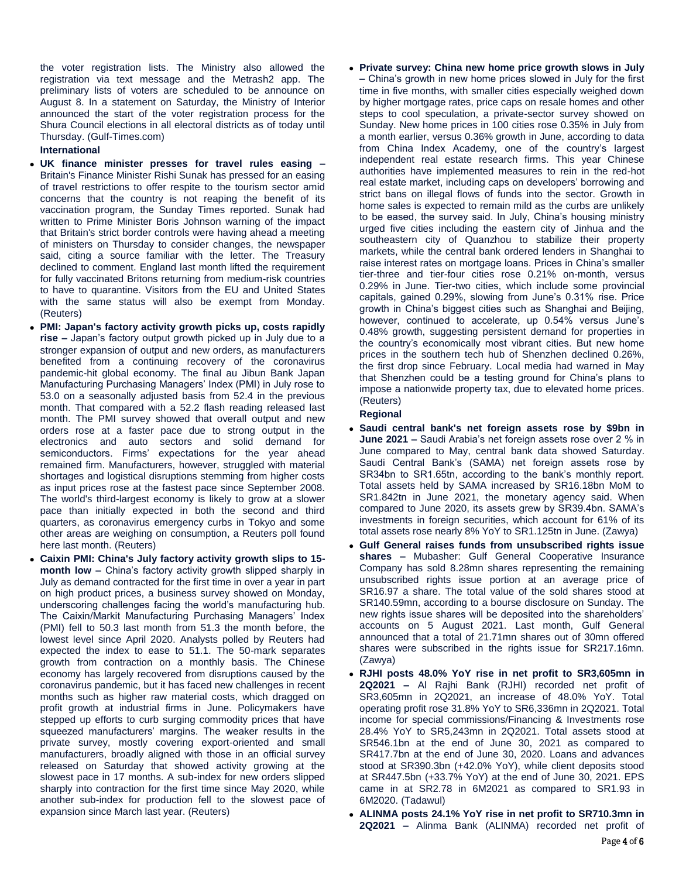the voter registration lists. The Ministry also allowed the registration via text message and the Metrash2 app. The preliminary lists of voters are scheduled to be announce on August 8. In a statement on Saturday, the Ministry of Interior announced the start of the voter registration process for the Shura Council elections in all electoral districts as of today until Thursday. (Gulf-Times.com)

# **International**

- **UK finance minister presses for travel rules easing –** Britain's Finance Minister Rishi Sunak has pressed for an easing of travel restrictions to offer respite to the tourism sector amid concerns that the country is not reaping the benefit of its vaccination program, the Sunday Times reported. Sunak had written to Prime Minister Boris Johnson warning of the impact that Britain's strict border controls were having ahead a meeting of ministers on Thursday to consider changes, the newspaper said, citing a source familiar with the letter. The Treasury declined to comment. England last month lifted the requirement for fully vaccinated Britons returning from medium-risk countries to have to quarantine. Visitors from the EU and United States with the same status will also be exempt from Monday. (Reuters)
- **PMI: Japan's factory activity growth picks up, costs rapidly rise –** Japan's factory output growth picked up in July due to a stronger expansion of output and new orders, as manufacturers benefited from a continuing recovery of the coronavirus pandemic-hit global economy. The final au Jibun Bank Japan Manufacturing Purchasing Managers' Index (PMI) in July rose to 53.0 on a seasonally adjusted basis from 52.4 in the previous month. That compared with a 52.2 flash reading released last month. The PMI survey showed that overall output and new orders rose at a faster pace due to strong output in the electronics and auto sectors and solid demand for semiconductors. Firms' expectations for the year ahead remained firm. Manufacturers, however, struggled with material shortages and logistical disruptions stemming from higher costs as input prices rose at the fastest pace since September 2008. The world's third-largest economy is likely to grow at a slower pace than initially expected in both the second and third quarters, as coronavirus emergency curbs in Tokyo and some other areas are weighing on consumption, a Reuters poll found here last month. (Reuters)
- **Caixin PMI: China's July factory activity growth slips to 15 month low –** China's factory activity growth slipped sharply in July as demand contracted for the first time in over a year in part on high product prices, a business survey showed on Monday, underscoring challenges facing the world's manufacturing hub. The Caixin/Markit Manufacturing Purchasing Managers' Index (PMI) fell to 50.3 last month from 51.3 the month before, the lowest level since April 2020. Analysts polled by Reuters had expected the index to ease to 51.1. The 50-mark separates growth from contraction on a monthly basis. The Chinese economy has largely recovered from disruptions caused by the coronavirus pandemic, but it has faced new challenges in recent months such as higher raw material costs, which dragged on profit growth at industrial firms in June. Policymakers have stepped up efforts to curb surging commodity prices that have squeezed manufacturers' margins. The weaker results in the private survey, mostly covering export-oriented and small manufacturers, broadly aligned with those in an official survey released on Saturday that showed activity growing at the slowest pace in 17 months. A sub-index for new orders slipped sharply into contraction for the first time since May 2020, while another sub-index for production fell to the slowest pace of expansion since March last year. (Reuters)

 **Private survey: China new home price growth slows in July –** China's growth in new home prices slowed in July for the first time in five months, with smaller cities especially weighed down by higher mortgage rates, price caps on resale homes and other steps to cool speculation, a private-sector survey showed on Sunday. New home prices in 100 cities rose 0.35% in July from a month earlier, versus 0.36% growth in June, according to data from China Index Academy, one of the country's largest independent real estate research firms. This year Chinese authorities have implemented measures to rein in the red-hot real estate market, including caps on developers' borrowing and strict bans on illegal flows of funds into the sector. Growth in home sales is expected to remain mild as the curbs are unlikely to be eased, the survey said. In July, China's housing ministry urged five cities including the eastern city of Jinhua and the southeastern city of Quanzhou to stabilize their property markets, while the central bank ordered lenders in Shanghai to raise interest rates on mortgage loans. Prices in China's smaller tier-three and tier-four cities rose 0.21% on-month, versus 0.29% in June. Tier-two cities, which include some provincial capitals, gained 0.29%, slowing from June's 0.31% rise. Price growth in China's biggest cities such as Shanghai and Beijing, however, continued to accelerate, up 0.54% versus June's 0.48% growth, suggesting persistent demand for properties in the country's economically most vibrant cities. But new home prices in the southern tech hub of Shenzhen declined 0.26%, the first drop since February. Local media had warned in May that Shenzhen could be a testing ground for China's plans to impose a nationwide property tax, due to elevated home prices. (Reuters)

# **Regional**

- **Saudi central bank's net foreign assets rose by \$9bn in June 2021 –** Saudi Arabia's net foreign assets rose over 2 % in June compared to May, central bank data showed Saturday. Saudi Central Bank's (SAMA) net foreign assets rose by SR34bn to SR1.65tn, according to the bank's monthly report. Total assets held by SAMA increased by SR16.18bn MoM to SR1.842tn in June 2021, the monetary agency said. When compared to June 2020, its assets grew by SR39.4bn. SAMA's investments in foreign securities, which account for 61% of its total assets rose nearly 8% YoY to SR1.125tn in June. (Zawya)
- **Gulf General raises funds from unsubscribed rights issue shares –** Mubasher: Gulf General Cooperative Insurance Company has sold 8.28mn shares representing the remaining unsubscribed rights issue portion at an average price of SR16.97 a share. The total value of the sold shares stood at SR140.59mn, according to a bourse disclosure on Sunday. The new rights issue shares will be deposited into the shareholders' accounts on 5 August 2021. Last month, Gulf General announced that a total of 21.71mn shares out of 30mn offered shares were subscribed in the rights issue for SR217.16mn. (Zawya)
- **RJHI posts 48.0% YoY rise in net profit to SR3,605mn in 2Q2021 –** Al Rajhi Bank (RJHI) recorded net profit of SR3,605mn in 2Q2021, an increase of 48.0% YoY. Total operating profit rose 31.8% YoY to SR6,336mn in 2Q2021. Total income for special commissions/Financing & Investments rose 28.4% YoY to SR5,243mn in 2Q2021. Total assets stood at SR546.1bn at the end of June 30, 2021 as compared to SR417.7bn at the end of June 30, 2020. Loans and advances stood at SR390.3bn (+42.0% YoY), while client deposits stood at SR447.5bn (+33.7% YoY) at the end of June 30, 2021. EPS came in at SR2.78 in 6M2021 as compared to SR1.93 in 6M2020. (Tadawul)
- **ALINMA posts 24.1% YoY rise in net profit to SR710.3mn in 2Q2021 –** Alinma Bank (ALINMA) recorded net profit of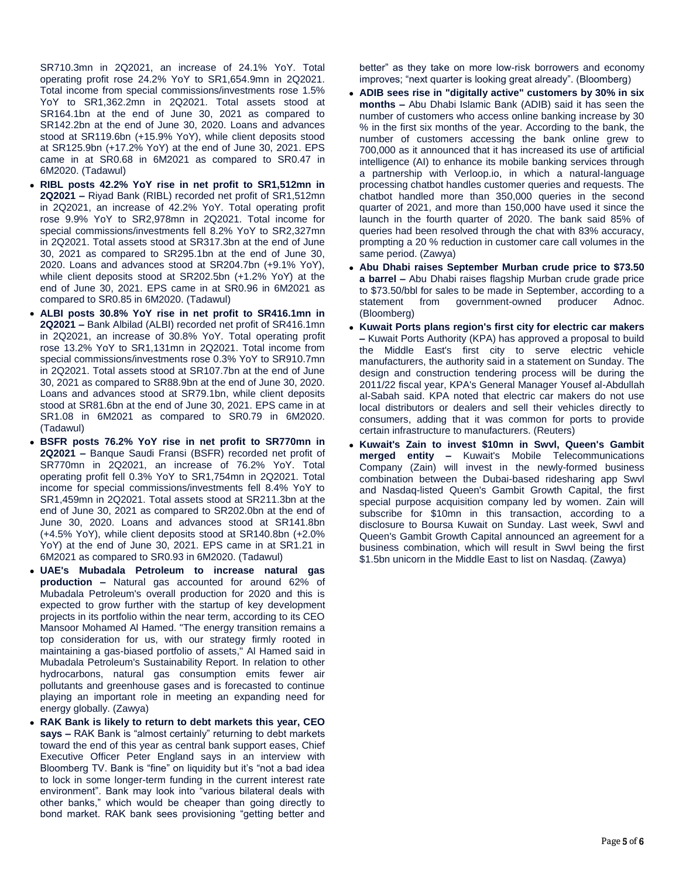SR710.3mn in 2Q2021, an increase of 24.1% YoY. Total operating profit rose 24.2% YoY to SR1,654.9mn in 2Q2021. Total income from special commissions/investments rose 1.5% YoY to SR1,362.2mn in 2Q2021. Total assets stood at SR164.1bn at the end of June 30, 2021 as compared to SR142.2bn at the end of June 30, 2020. Loans and advances stood at SR119.6bn (+15.9% YoY), while client deposits stood at SR125.9bn (+17.2% YoY) at the end of June 30, 2021. EPS came in at SR0.68 in 6M2021 as compared to SR0.47 in 6M2020. (Tadawul)

- **RIBL posts 42.2% YoY rise in net profit to SR1,512mn in 2Q2021 –** Riyad Bank (RIBL) recorded net profit of SR1,512mn in 2Q2021, an increase of 42.2% YoY. Total operating profit rose 9.9% YoY to SR2,978mn in 2Q2021. Total income for special commissions/investments fell 8.2% YoY to SR2,327mn in 2Q2021. Total assets stood at SR317.3bn at the end of June 30, 2021 as compared to SR295.1bn at the end of June 30, 2020. Loans and advances stood at SR204.7bn (+9.1% YoY), while client deposits stood at SR202.5bn (+1.2% YoY) at the end of June 30, 2021. EPS came in at SR0.96 in 6M2021 as compared to SR0.85 in 6M2020. (Tadawul)
- **ALBI posts 30.8% YoY rise in net profit to SR416.1mn in 2Q2021 –** Bank Albilad (ALBI) recorded net profit of SR416.1mn in 2Q2021, an increase of 30.8% YoY. Total operating profit rose 13.2% YoY to SR1,131mn in 2Q2021. Total income from special commissions/investments rose 0.3% YoY to SR910.7mn in 2Q2021. Total assets stood at SR107.7bn at the end of June 30, 2021 as compared to SR88.9bn at the end of June 30, 2020. Loans and advances stood at SR79.1bn, while client deposits stood at SR81.6bn at the end of June 30, 2021. EPS came in at SR1.08 in 6M2021 as compared to SR0.79 in 6M2020. (Tadawul)
- **BSFR posts 76.2% YoY rise in net profit to SR770mn in 2Q2021 –** Banque Saudi Fransi (BSFR) recorded net profit of SR770mn in 2Q2021, an increase of 76.2% YoY. Total operating profit fell 0.3% YoY to SR1,754mn in 2Q2021. Total income for special commissions/investments fell 8.4% YoY to SR1,459mn in 2Q2021. Total assets stood at SR211.3bn at the end of June 30, 2021 as compared to SR202.0bn at the end of June 30, 2020. Loans and advances stood at SR141.8bn (+4.5% YoY), while client deposits stood at SR140.8bn (+2.0% YoY) at the end of June 30, 2021. EPS came in at SR1.21 in 6M2021 as compared to SR0.93 in 6M2020. (Tadawul)
- **UAE's Mubadala Petroleum to increase natural gas production –** Natural gas accounted for around 62% of Mubadala Petroleum's overall production for 2020 and this is expected to grow further with the startup of key development projects in its portfolio within the near term, according to its CEO Mansoor Mohamed Al Hamed. "The energy transition remains a top consideration for us, with our strategy firmly rooted in maintaining a gas-biased portfolio of assets," Al Hamed said in Mubadala Petroleum's Sustainability Report. In relation to other hydrocarbons, natural gas consumption emits fewer air pollutants and greenhouse gases and is forecasted to continue playing an important role in meeting an expanding need for energy globally. (Zawya)
- **RAK Bank is likely to return to debt markets this year, CEO says –** RAK Bank is "almost certainly" returning to debt markets toward the end of this year as central bank support eases, Chief Executive Officer Peter England says in an interview with Bloomberg TV. Bank is "fine" on liquidity but it's "not a bad idea to lock in some longer-term funding in the current interest rate environment". Bank may look into "various bilateral deals with other banks," which would be cheaper than going directly to bond market. RAK bank sees provisioning "getting better and

better" as they take on more low-risk borrowers and economy improves; "next quarter is looking great already". (Bloomberg)

- **ADIB sees rise in "digitally active" customers by 30% in six months –** Abu Dhabi Islamic Bank (ADIB) said it has seen the number of customers who access online banking increase by 30 % in the first six months of the year. According to the bank, the number of customers accessing the bank online grew to 700,000 as it announced that it has increased its use of artificial intelligence (AI) to enhance its mobile banking services through a partnership with Verloop.io, in which a natural-language processing chatbot handles customer queries and requests. The chatbot handled more than 350,000 queries in the second quarter of 2021, and more than 150,000 have used it since the launch in the fourth quarter of 2020. The bank said 85% of queries had been resolved through the chat with 83% accuracy, prompting a 20 % reduction in customer care call volumes in the same period. (Zawya)
- **Abu Dhabi raises September Murban crude price to \$73.50 a barrel –** Abu Dhabi raises flagship Murban crude grade price to \$73.50/bbl for sales to be made in September, according to a statement from government-owned producer Adnoc. (Bloomberg)
- **Kuwait Ports plans region's first city for electric car makers –** Kuwait Ports Authority (KPA) has approved a proposal to build the Middle East's first city to serve electric vehicle manufacturers, the authority said in a statement on Sunday. The design and construction tendering process will be during the 2011/22 fiscal year, KPA's General Manager Yousef al-Abdullah al-Sabah said. KPA noted that electric car makers do not use local distributors or dealers and sell their vehicles directly to consumers, adding that it was common for ports to provide certain infrastructure to manufacturers. (Reuters)
- **Kuwait's Zain to invest \$10mn in Swvl, Queen's Gambit merged entity –** Kuwait's Mobile Telecommunications Company (Zain) will invest in the newly-formed business combination between the Dubai-based ridesharing app Swvl and Nasdaq-listed Queen's Gambit Growth Capital, the first special purpose acquisition company led by women. Zain will subscribe for \$10mn in this transaction, according to a disclosure to Boursa Kuwait on Sunday. Last week, Swvl and Queen's Gambit Growth Capital announced an agreement for a business combination, which will result in Swvl being the first \$1.5bn unicorn in the Middle East to list on Nasdaq. (Zawya)